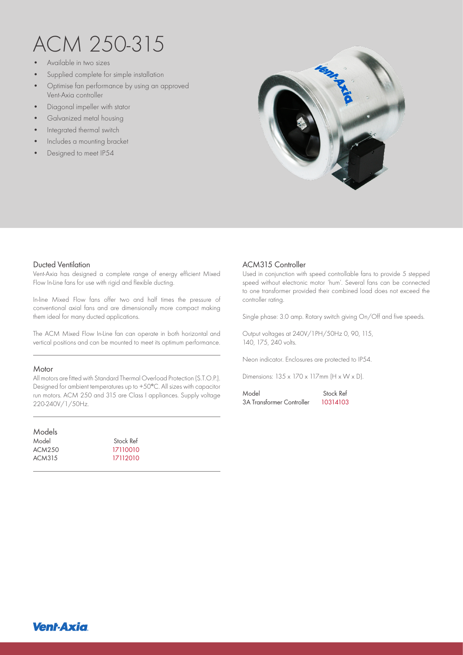# ACM 250-315

- Available in two sizes
- Supplied complete for simple installation
- Optimise fan performance by using an approved Vent-Axia controller
- Diagonal impeller with stator
- Galvanized metal housing
- Integrated thermal switch
- Includes a mounting bracket
- Designed to meet IP54



#### Ducted Ventilation

Vent-Axia has designed a complete range of energy efficient Mixed Flow In-Line fans for use with rigid and flexible ducting.

In-line Mixed Flow fans offer two and half times the pressure of conventional axial fans and are dimensionally more compact making them ideal for many ducted applications.

The ACM Mixed Flow In-Line fan can operate in both horizontal and vertical positions and can be mounted to meet its optimum performance.

#### **Motor**

All motors are fitted with Standard Thermal Overload Protection (S.T.O.P.). Designed for ambient temperatures up to +50°C. All sizes with capacitor run motors. ACM 250 and 315 are Class I appliances. Supply voltage 220-240V/1/50Hz.

| Models |           |  |
|--------|-----------|--|
| Model  | Stock Ref |  |
| ACM250 | 17110010  |  |
| ACM315 | 17112010  |  |
|        |           |  |

## ACM315 Controller

Used in conjunction with speed controllable fans to provide 5 stepped speed without electronic motor 'hum'. Several fans can be connected to one transformer provided their combined load does not exceed the controller rating.

Single phase: 3.0 amp. Rotary switch giving On/Off and five speeds.

Output voltages at 240V/1PH/50Hz 0, 90, 115, 140, 175, 240 volts.

Neon indicator. Enclosures are protected to IP54.

Dimensions: 135 x 170 x 117mm (H x W x D).

Model 5tock Ref 3A Transformer Controller 10314103